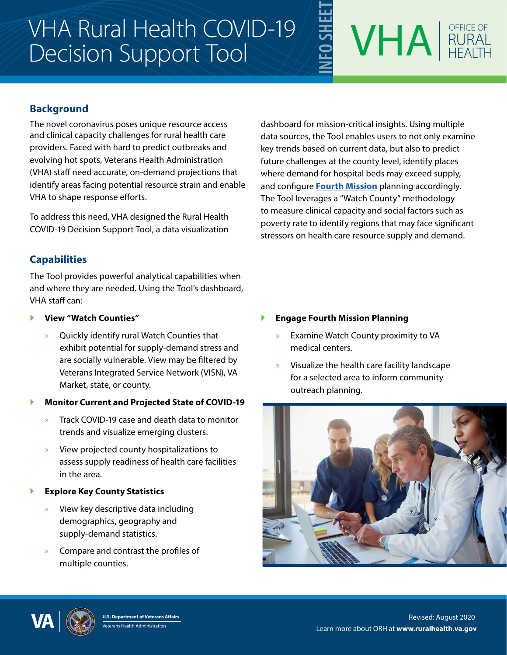## VHA Rural Health COVID-19 Decision Support Tool



## **Background**

The novel coronavirus poses unique resource access and clinical capacity challenges for rural health care providers. Faced with hard to predict outbreaks and evolving hot spots, Veterans Health Administration (VHA) staff need accurate, on-demand projections that identify areas facing potential resource strain and enable VHA to shape response efforts.

To address this need, VHA designed the Rural Health COVID-19 Decision Support Tool, a data visualization

**Capabilities**

The Tool provides powerful analytical capabilities when and where they are needed. Using the Tool's dashboard, VHA staff can:

- } **View "Watch Counties"**
	- » Quickly identify rural Watch Counties that exhibit potential for supply-demand stress and are socially vulnerable. View may be filtered by Veterans Integrated Service Network (VISN), VA Market, state, or county.
- } **Monitor Current and Projected State of COVID-19**
	- » Track COVID-19 case and death data to monitor trends and visualize emerging clusters.
	- » View projected county hospitalizations to assess supply readiness of health care facilities in the area.
- **Explore Key County Statistics** 
	- » View key descriptive data including demographics, geography and supply-demand statistics.
	- » Compare and contrast the profiles of multiple counties.

dashboard for mission-critical insights. Using multiple data sources, the Tool enables users to not only examine key trends based on current data, but also to predict future challenges at the county level, identify places where demand for hospital beds may exceed supply, and configure **[Fourth Mission](https://www.va.gov/health/coronavirus/statesupport.asp)** planning accordingly. The Tool leverages a "Watch County" methodology to measure clinical capacity and social factors such as poverty rate to identify regions that may face significant stressors on health care resource supply and demand.

- } **Engage Fourth Mission Planning**
	- » Examine Watch County proximity to VA medical centers.
	- » Visualize the health care facility landscape for a selected area to inform community outreach planning.





Learn more about ORH at **www.ruralhealth.va.gov U.S. Department of Veterans Affairs** Revised: August 2020